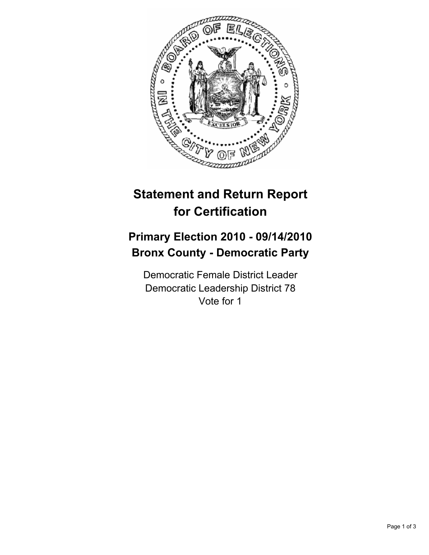

## **Statement and Return Report for Certification**

## **Primary Election 2010 - 09/14/2010 Bronx County - Democratic Party**

Democratic Female District Leader Democratic Leadership District 78 Vote for 1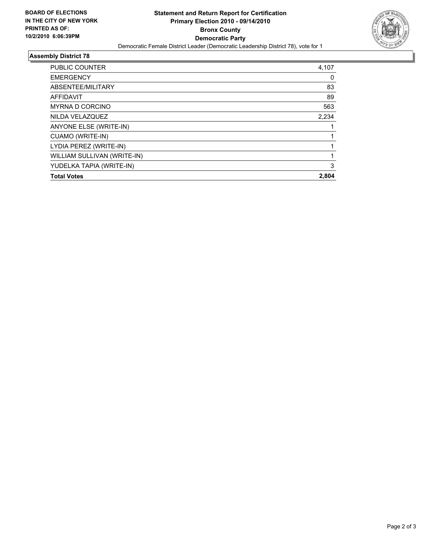

## **Assembly District 78**

| <b>PUBLIC COUNTER</b>       | 4,107 |
|-----------------------------|-------|
| <b>EMERGENCY</b>            | 0     |
| ABSENTEE/MILITARY           | 83    |
| AFFIDAVIT                   | 89    |
| <b>MYRNA D CORCINO</b>      | 563   |
| NILDA VELAZQUEZ             | 2,234 |
| ANYONE ELSE (WRITE-IN)      |       |
| CUAMO (WRITE-IN)            |       |
| LYDIA PEREZ (WRITE-IN)      |       |
| WILLIAM SULLIVAN (WRITE-IN) |       |
| YUDELKA TAPIA (WRITE-IN)    | 3     |
| <b>Total Votes</b>          | 2,804 |
|                             |       |